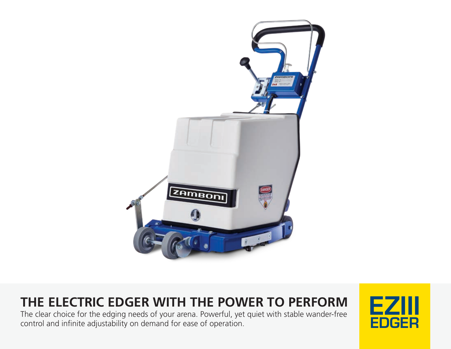

# **THE ELECTRIC EDGER WITH THE POWER TO PERFORM EZI**

The clear choice for the edging needs of your arena. Powerful, yet quiet with stable wander-free control and infinite adjustability on demand for ease of operation.